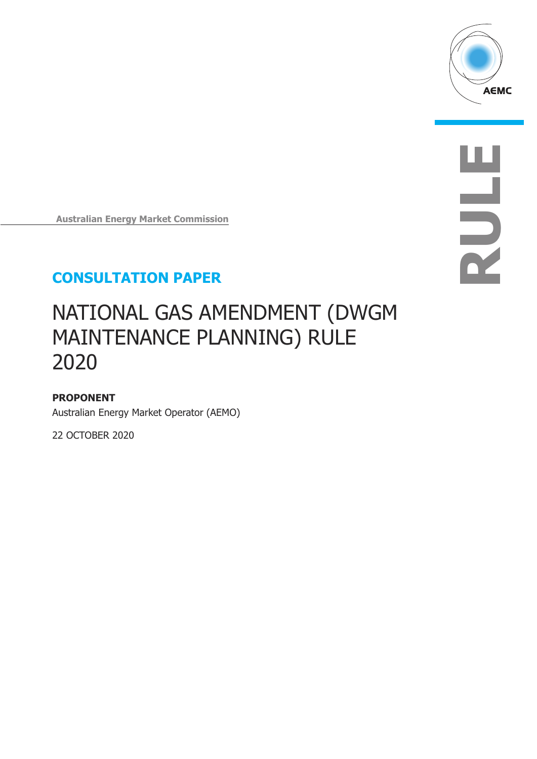

**RULE**

**Australian Energy Market Commission**

## **CONSULTATION PAPER**

# NATIONAL GAS AMENDMENT (DWGM MAINTENANCE PLANNING) RULE 2020

### **PROPONENT**

Australian Energy Market Operator (AEMO)

22 OCTOBER 2020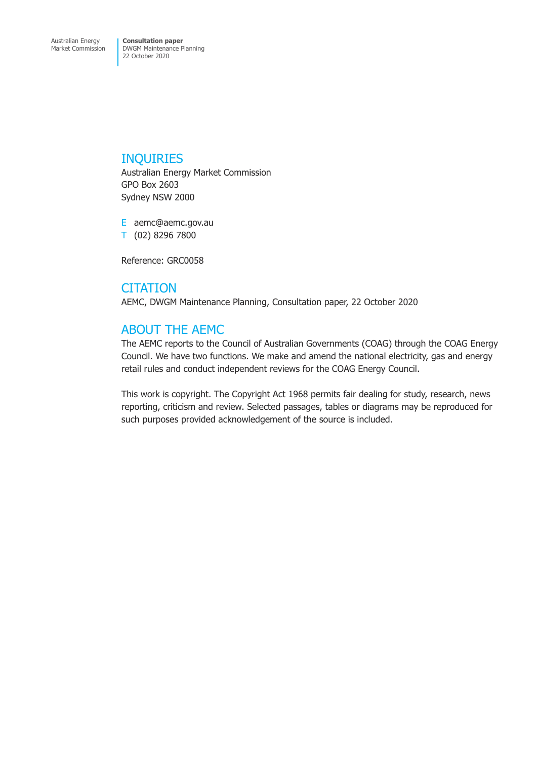### INQUIRIES

Australian Energy Market Commission GPO Box 2603 Sydney NSW 2000

E aemc@aemc.gov.au T (02) 8296 7800

Reference: GRC0058

**CITATION** AEMC, DWGM Maintenance Planning, Consultation paper, 22 October 2020

## ABOUT THE AEMC

The AEMC reports to the Council of Australian Governments (COAG) through the COAG Energy Council. We have two functions. We make and amend the national electricity, gas and energy retail rules and conduct independent reviews for the COAG Energy Council.

This work is copyright. The Copyright Act 1968 permits fair dealing for study, research, news reporting, criticism and review. Selected passages, tables or diagrams may be reproduced for such purposes provided acknowledgement of the source is included.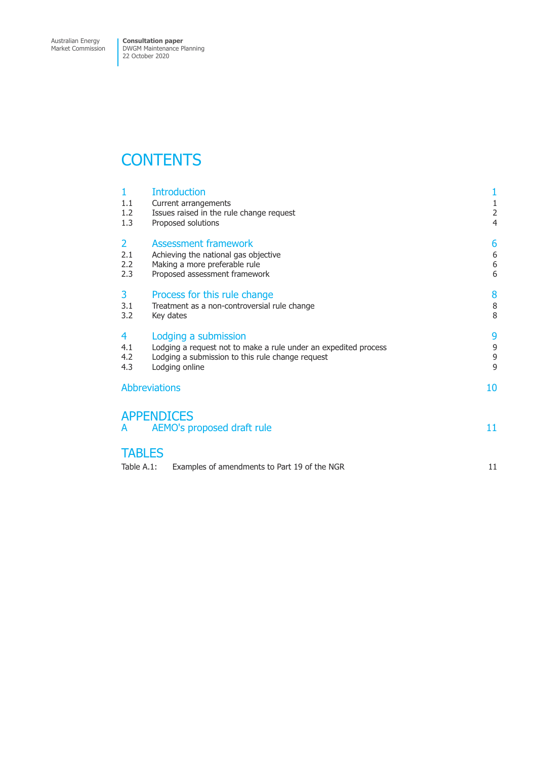Market Commission

DWGM Maintenance Planning 22 October 2020

## **CONTENTS**

| 1<br>1.1<br>1.2<br>1.3              | <b>Introduction</b><br>Current arrangements<br>Issues raised in the rule change request<br>Proposed solutions                                                 | $\mathbf{1}$<br>$\frac{1}{2}$<br>4 |
|-------------------------------------|---------------------------------------------------------------------------------------------------------------------------------------------------------------|------------------------------------|
| $\overline{2}$<br>2.1<br>2.2<br>2.3 | <b>Assessment framework</b><br>Achieving the national gas objective<br>Making a more preferable rule<br>Proposed assessment framework                         | 6<br>6<br>6<br>6                   |
| 3<br>3.1<br>3.2                     | Process for this rule change<br>Treatment as a non-controversial rule change<br>Key dates                                                                     | 8<br>8<br>8                        |
| 4<br>4.1<br>4.2<br>4.3              | Lodging a submission<br>Lodging a request not to make a rule under an expedited process<br>Lodging a submission to this rule change request<br>Lodging online | 9<br>9<br>9<br>$\overline{9}$      |
| <b>Abbreviations</b>                |                                                                                                                                                               | 10                                 |
| A                                   | <b>APPENDICES</b><br>AEMO's proposed draft rule                                                                                                               | 11                                 |
| <b>TABLES</b><br>Table A.1:         | Examples of amendments to Part 19 of the NGR                                                                                                                  | 11                                 |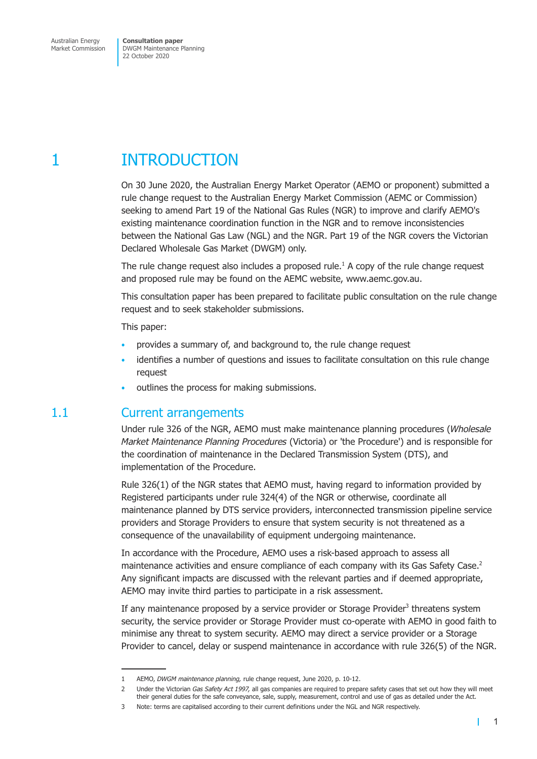# <span id="page-3-0"></span>1 INTRODUCTION

On 30 June 2020, the Australian Energy Market Operator (AEMO or proponent) submitted a rule change request to the Australian Energy Market Commission (AEMC or Commission) seeking to amend Part 19 of the National Gas Rules (NGR) to improve and clarify AEMO's existing maintenance coordination function in the NGR and to remove inconsistencies between the National Gas Law (NGL) and the NGR. Part 19 of the NGR covers the Victorian Declared Wholesale Gas Market (DWGM) only.

The rule change request also includes a proposed rule.<sup>1</sup> A copy of the rule change request and proposed rule may be found on the AEMC website, www.aemc.gov.au.

This consultation paper has been prepared to facilitate public consultation on the rule change request and to seek stakeholder submissions.

This paper:

- provides a summary of, and background to, the rule change request
- identifies a number of questions and issues to facilitate consultation on this rule change request
- outlines the process for making submissions.

### 1.1 Current arrangements

Under rule 326 of the NGR, AEMO must make maintenance planning procedures (*Wholesale Market Maintenance Planning Procedures* (Victoria) or 'the Procedure') and is responsible for the coordination of maintenance in the Declared Transmission System (DTS), and implementation of the Procedure.

Rule 326(1) of the NGR states that AEMO must, having regard to information provided by Registered participants under rule 324(4) of the NGR or otherwise, coordinate all maintenance planned by DTS service providers, interconnected transmission pipeline service providers and Storage Providers to ensure that system security is not threatened as a consequence of the unavailability of equipment undergoing maintenance.

In accordance with the Procedure, AEMO uses a risk-based approach to assess all maintenance activities and ensure compliance of each company with its Gas Safety Case.<sup>2</sup> Any significant impacts are discussed with the relevant parties and if deemed appropriate, AEMO may invite third parties to participate in a risk assessment.

If any maintenance proposed by a service provider or Storage Provider<sup>3</sup> threatens system security, the service provider or Storage Provider must co-operate with AEMO in good faith to minimise any threat to system security. AEMO may direct a service provider or a Storage Provider to cancel, delay or suspend maintenance in accordance with rule 326(5) of the NGR.

<sup>1</sup> AEMO, *DWGM maintenance planning,* rule change request, June 2020, p. 10-12.

<sup>2</sup> Under the Victorian *Gas Safety Act 1997,* all gas companies are required to prepare safety cases that set out how they will meet their general duties for the safe conveyance, sale, supply, measurement, control and use of gas as detailed under the Act.

<sup>3</sup> Note: terms are capitalised according to their current definitions under the NGL and NGR respectively.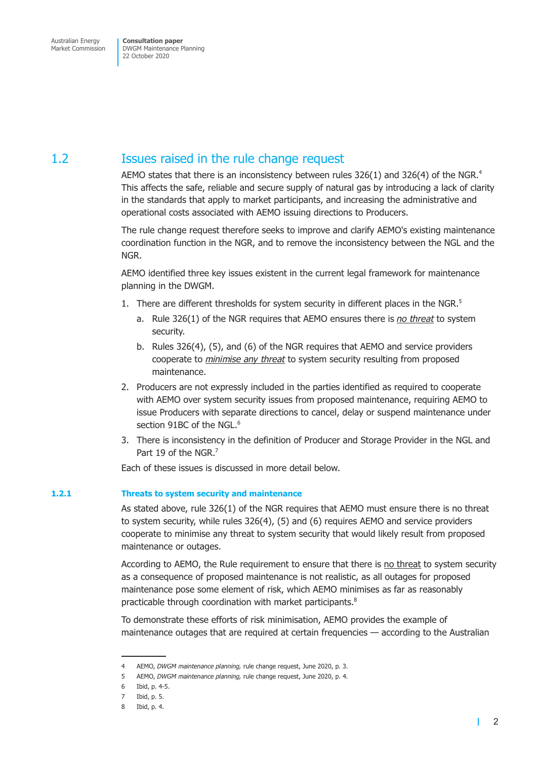## <span id="page-4-0"></span>1.2 Issues raised in the rule change request

AEMO states that there is an inconsistency between rules 326(1) and 326(4) of the NGR.<sup>4</sup> This affects the safe, reliable and secure supply of natural gas by introducing a lack of clarity in the standards that apply to market participants, and increasing the administrative and operational costs associated with AEMO issuing directions to Producers.

The rule change request therefore seeks to improve and clarify AEMO's existing maintenance coordination function in the NGR, and to remove the inconsistency between the NGL and the NGR.

AEMO identified three key issues existent in the current legal framework for maintenance planning in the DWGM.

- 1. There are different thresholds for system security in different places in the NGR. $^5$ 
	- a. Rule 326(1) of the NGR requires that AEMO ensures there is *no threat* to system security.
	- b. Rules 326(4), (5), and (6) of the NGR requires that AEMO and service providers cooperate to *minimise any threat* to system security resulting from proposed maintenance.
- 2. Producers are not expressly included in the parties identified as required to cooperate with AEMO over system security issues from proposed maintenance, requiring AEMO to issue Producers with separate directions to cancel, delay or suspend maintenance under section 91BC of the NGL.<sup>6</sup>
- 3. There is inconsistency in the definition of Producer and Storage Provider in the NGL and Part 19 of the NGR.<sup>7</sup>

Each of these issues is discussed in more detail below.

### **1.2.1 Threats to system security and maintenance**

As stated above, rule 326(1) of the NGR requires that AEMO must ensure there is no threat to system security, while rules 326(4), (5) and (6) requires AEMO and service providers cooperate to minimise any threat to system security that would likely result from proposed maintenance or outages.

According to AEMO, the Rule requirement to ensure that there is no threat to system security as a consequence of proposed maintenance is not realistic, as all outages for proposed maintenance pose some element of risk, which AEMO minimises as far as reasonably practicable through coordination with market participants.<sup>8</sup>

To demonstrate these efforts of risk minimisation, AEMO provides the example of maintenance outages that are required at certain frequencies — according to the Australian

<sup>4</sup> AEMO, *DWGM maintenance planning,* rule change request, June 2020, p. 3.

<sup>5</sup> AEMO, *DWGM maintenance planning,* rule change request, June 2020, p. 4.

<sup>6</sup> Ibid, p. 4-5.

<sup>7</sup> Ibid, p. 5.

<sup>8</sup> Ibid, p. 4.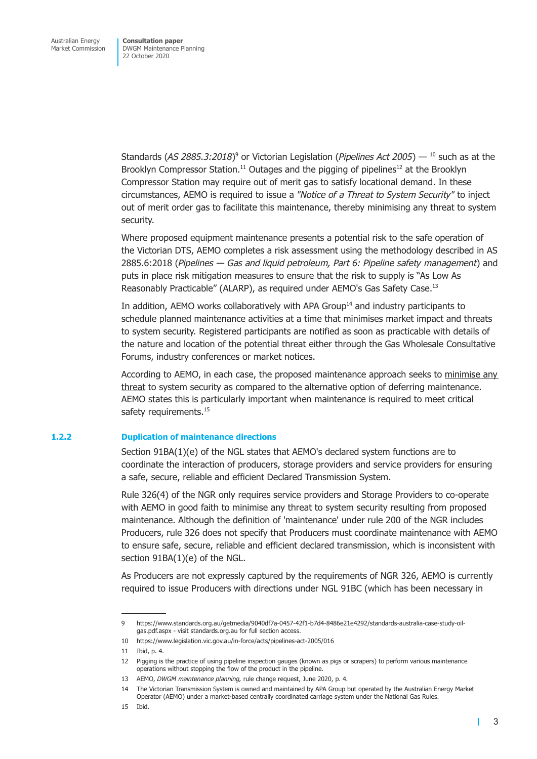Standards (*AS 2885.3:2018*)<sup>9</sup> or Victorian Legislation (*Pipelines Act 2005*) — <sup>10</sup> such as at the Brooklyn Compressor Station.<sup>11</sup> Outages and the pigging of pipelines<sup>12</sup> at the Brooklyn Compressor Station may require out of merit gas to satisfy locational demand. In these circumstances, AEMO is required to issue a *"Notice of a Threat to System Security"* to inject out of merit order gas to facilitate this maintenance, thereby minimising any threat to system security.

Where proposed equipment maintenance presents a potential risk to the safe operation of the Victorian DTS, AEMO completes a risk assessment using the methodology described in AS 2885.6:2018 (*Pipelines — Gas and liquid petroleum, Part 6: Pipeline safety management*) and puts in place risk mitigation measures to ensure that the risk to supply is "As Low As Reasonably Practicable" (ALARP), as required under AEMO's Gas Safety Case.13

In addition, AEMO works collaboratively with APA Group $14$  and industry participants to schedule planned maintenance activities at a time that minimises market impact and threats to system security. Registered participants are notified as soon as practicable with details of the nature and location of the potential threat either through the Gas Wholesale Consultative Forums, industry conferences or market notices.

According to AEMO, in each case, the proposed maintenance approach seeks to minimise any threat to system security as compared to the alternative option of deferring maintenance. AEMO states this is particularly important when maintenance is required to meet critical safety requirements.<sup>15</sup>

#### **1.2.2 Duplication of maintenance directions**

Section 91BA(1)(e) of the NGL states that AEMO's declared system functions are to coordinate the interaction of producers, storage providers and service providers for ensuring a safe, secure, reliable and efficient Declared Transmission System.

Rule 326(4) of the NGR only requires service providers and Storage Providers to co-operate with AEMO in good faith to minimise any threat to system security resulting from proposed maintenance. Although the definition of 'maintenance' under rule 200 of the NGR includes Producers, rule 326 does not specify that Producers must coordinate maintenance with AEMO to ensure safe, secure, reliable and efficient declared transmission, which is inconsistent with section 91BA(1)(e) of the NGL.

As Producers are not expressly captured by the requirements of NGR 326, AEMO is currently required to issue Producers with directions under NGL 91BC (which has been necessary in

14 The Victorian Transmission System is owned and maintained by APA Group but operated by the Australian Energy Market Operator (AEMO) under a market-based centrally coordinated carriage system under the National Gas Rules.

 $\mathbf{I}$ 

<sup>9</sup> https://www.standards.org.au/getmedia/9040df7a-0457-42f1-b7d4-8486e21e4292/standards-australia-case-study-oilgas.pdf.aspx - visit standards.org.au for full section access.

<sup>10</sup> https://www.legislation.vic.gov.au/in-force/acts/pipelines-act-2005/016

<sup>11</sup> Ibid, p. 4.

<sup>12</sup> Pigging is the practice of using pipeline inspection gauges (known as pigs or scrapers) to perform various maintenance operations without stopping the flow of the product in the pipeline.

<sup>13</sup> AEMO, *DWGM maintenance planning,* rule change request, June 2020, p. 4.

<sup>15</sup> Ibid.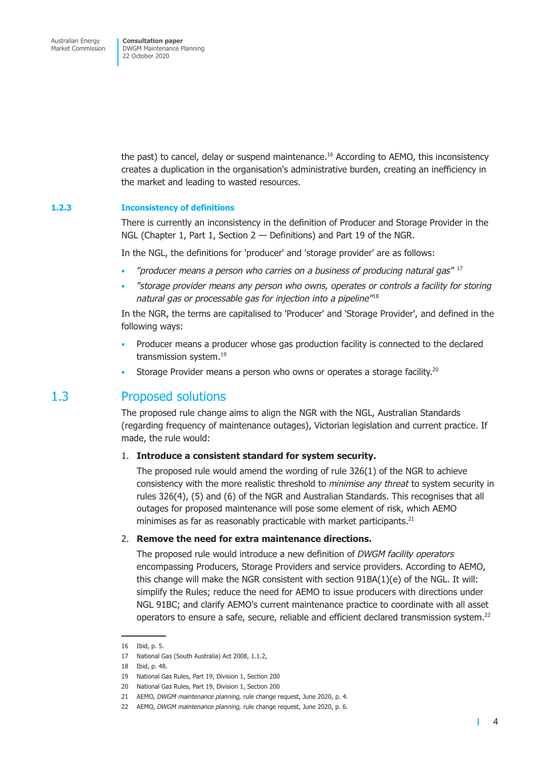<span id="page-6-0"></span>the past) to cancel, delay or suspend maintenance.<sup>16</sup> According to AEMO, this inconsistency creates a duplication in the organisation's administrative burden, creating an inefficiency in the market and leading to wasted resources.

#### **1.2.3 Inconsistency of definitions**

There is currently an inconsistency in the definition of Producer and Storage Provider in the NGL (Chapter 1, Part 1, Section 2 — Definitions) and Part 19 of the NGR.

In the NGL, the definitions for 'producer' and 'storage provider' are as follows:

- *"producer means a person who carries on a business of producing natural gas"* <sup>17</sup> •
- *"storage provider means any person who owns, operates or controls a facility for storing natural gas or processable gas for injection into a pipeline"*<sup>18</sup>

In the NGR, the terms are capitalised to 'Producer' and 'Storage Provider', and defined in the following ways:

- Producer means a producer whose gas production facility is connected to the declared transmission system.<sup>19</sup>
- Storage Provider means a person who owns or operates a storage facility.<sup>20</sup>

### 1.3 Proposed solutions

The proposed rule change aims to align the NGR with the NGL, Australian Standards (regarding frequency of maintenance outages), Victorian legislation and current practice. If made, the rule would:

### 1. **Introduce a consistent standard for system security.**

The proposed rule would amend the wording of rule 326(1) of the NGR to achieve consistency with the more realistic threshold to *minimise any threat* to system security in rules 326(4), (5) and (6) of the NGR and Australian Standards. This recognises that all outages for proposed maintenance will pose some element of risk, which AEMO minimises as far as reasonably practicable with market participants.<sup>21</sup>

### 2. **Remove the need for extra maintenance directions.**

The proposed rule would introduce a new definition of *DWGM facility operators* encompassing Producers, Storage Providers and service providers. According to AEMO, this change will make the NGR consistent with section 91BA(1)(e) of the NGL. It will: simplify the Rules; reduce the need for AEMO to issue producers with directions under NGL 91BC; and clarify AEMO's current maintenance practice to coordinate with all asset operators to ensure a safe, secure, reliable and efficient declared transmission system.22

<sup>16</sup> Ibid, p. 5.

<sup>17</sup> National Gas (South Australia) Act 2008, 1.1.2,

<sup>18</sup> Ibid, p. 48.

<sup>19</sup> National Gas Rules, Part 19, Division 1, Section 200

<sup>20</sup> National Gas Rules, Part 19, Division 1, Section 200

<sup>21</sup> AEMO, *DWGM maintenance planning,* rule change request, June 2020, p. 4.

<sup>22</sup> AEMO, *DWGM maintenance planning,* rule change request, June 2020, p. 6.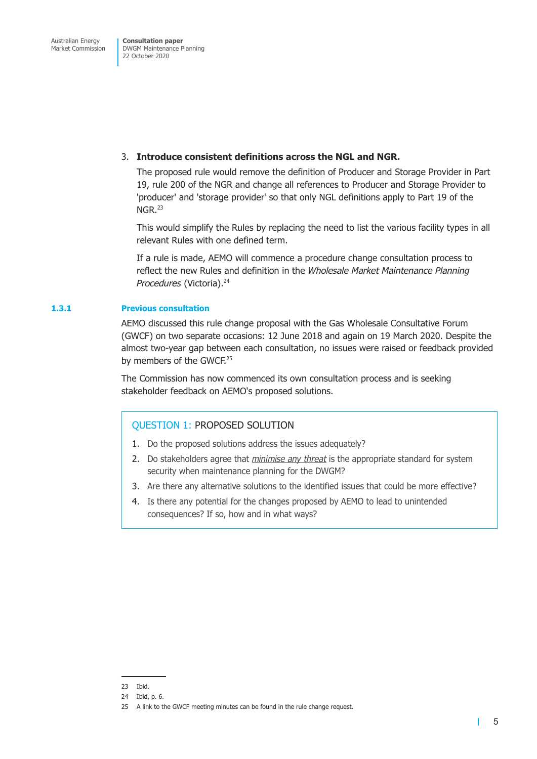### 3. **Introduce consistent definitions across the NGL and NGR.**

The proposed rule would remove the definition of Producer and Storage Provider in Part 19, rule 200 of the NGR and change all references to Producer and Storage Provider to 'producer' and 'storage provider' so that only NGL definitions apply to Part 19 of the NGR.<sup>23</sup>

This would simplify the Rules by replacing the need to list the various facility types in all relevant Rules with one defined term.

If a rule is made, AEMO will commence a procedure change consultation process to reflect the new Rules and definition in the *Wholesale Market Maintenance Planning Procedures* (Victoria).<sup>24</sup>

### **1.3.1 Previous consultation**

AEMO discussed this rule change proposal with the Gas Wholesale Consultative Forum (GWCF) on two separate occasions: 12 June 2018 and again on 19 March 2020. Despite the almost two-year gap between each consultation, no issues were raised or feedback provided by members of the GWCF.<sup>25</sup>

The Commission has now commenced its own consultation process and is seeking stakeholder feedback on AEMO's proposed solutions.

### QUESTION 1: PROPOSED SOLUTION

- 1. Do the proposed solutions address the issues adequately?
- 2. Do stakeholders agree that *minimise any threat* is the appropriate standard for system security when maintenance planning for the DWGM?
- 3. Are there any alternative solutions to the identified issues that could be more effective?
- 4. Is there any potential for the changes proposed by AEMO to lead to unintended consequences? If so, how and in what ways?

<sup>23</sup> Ibid.

<sup>24</sup> Ibid, p. 6.

<sup>25</sup> A link to the GWCF meeting minutes can be found in the rule change request.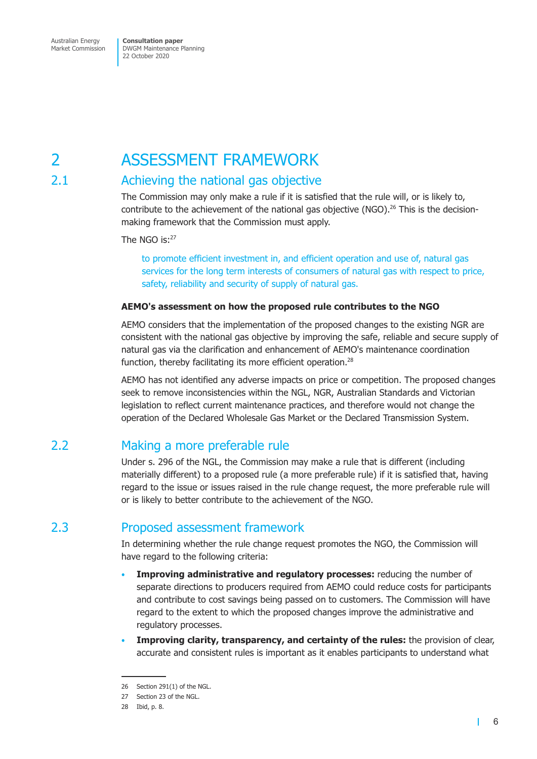# <span id="page-8-0"></span>2 ASSESSMENT FRAMEWORK

## 2.1 Achieving the national gas objective

The Commission may only make a rule if it is satisfied that the rule will, or is likely to, contribute to the achievement of the national gas objective (NGO).<sup>26</sup> This is the decisionmaking framework that the Commission must apply.

The NGO is:<sup>27</sup>

to promote efficient investment in, and efficient operation and use of, natural gas services for the long term interests of consumers of natural gas with respect to price, safety, reliability and security of supply of natural gas.

### **AEMO's assessment on how the proposed rule contributes to the NGO**

AEMO considers that the implementation of the proposed changes to the existing NGR are consistent with the national gas objective by improving the safe, reliable and secure supply of natural gas via the clarification and enhancement of AEMO's maintenance coordination function, thereby facilitating its more efficient operation.<sup>28</sup>

AEMO has not identified any adverse impacts on price or competition. The proposed changes seek to remove inconsistencies within the NGL, NGR, Australian Standards and Victorian legislation to reflect current maintenance practices, and therefore would not change the operation of the Declared Wholesale Gas Market or the Declared Transmission System.

## 2.2 Making a more preferable rule

Under s. 296 of the NGL, the Commission may make a rule that is different (including materially different) to a proposed rule (a more preferable rule) if it is satisfied that, having regard to the issue or issues raised in the rule change request, the more preferable rule will or is likely to better contribute to the achievement of the NGO.

## 2.3 Proposed assessment framework

In determining whether the rule change request promotes the NGO, the Commission will have regard to the following criteria:

- **Improving administrative and regulatory processes:** reducing the number of separate directions to producers required from AEMO could reduce costs for participants and contribute to cost savings being passed on to customers. The Commission will have regard to the extent to which the proposed changes improve the administrative and regulatory processes.
- **Improving clarity, transparency, and certainty of the rules:** the provision of clear, accurate and consistent rules is important as it enables participants to understand what

<sup>26</sup> Section 291(1) of the NGL.

<sup>27</sup> Section 23 of the NGL.

<sup>28</sup> Ibid, p. 8.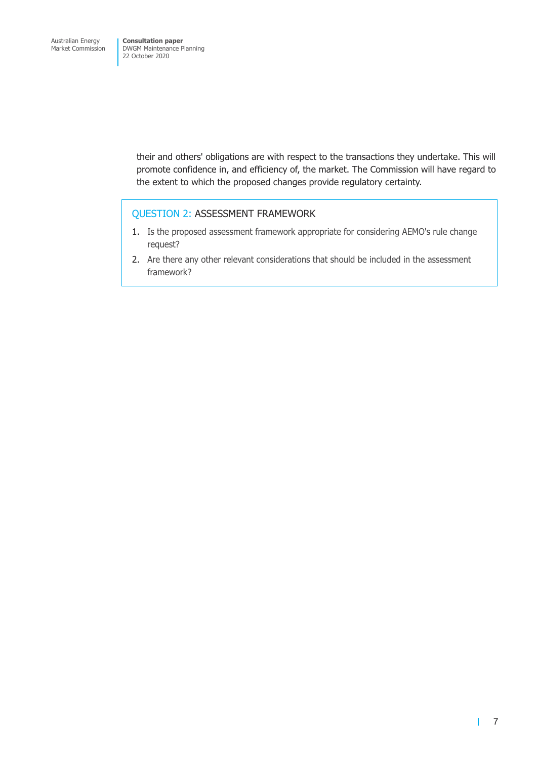> their and others' obligations are with respect to the transactions they undertake. This will promote confidence in, and efficiency of, the market. The Commission will have regard to the extent to which the proposed changes provide regulatory certainty.

### QUESTION 2: ASSESSMENT FRAMEWORK

- 1. Is the proposed assessment framework appropriate for considering AEMO's rule change request?
- 2. Are there any other relevant considerations that should be included in the assessment framework?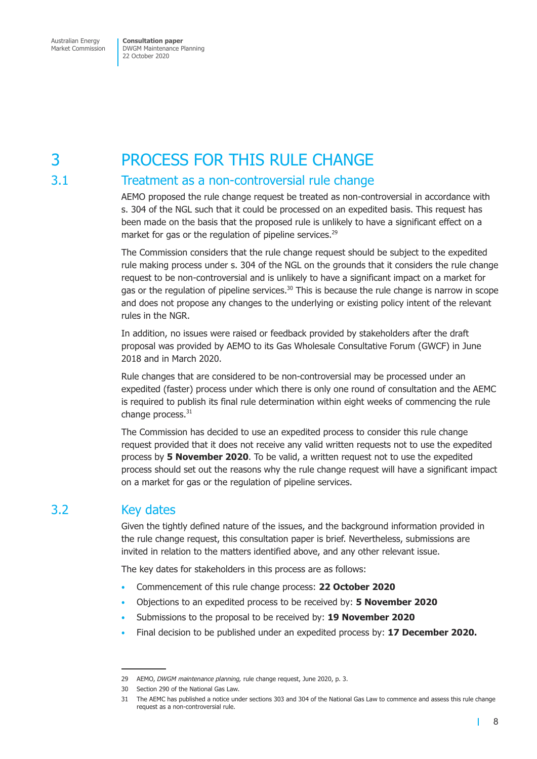<span id="page-10-0"></span>Australian Energy Market Commission **Consultation paper** DWGM Maintenance Planning 22 October 2020

# 3 PROCESS FOR THIS RULE CHANGE

### 3.1 Treatment as a non-controversial rule change

AEMO proposed the rule change request be treated as non-controversial in accordance with s. 304 of the NGL such that it could be processed on an expedited basis. This request has been made on the basis that the proposed rule is unlikely to have a significant effect on a market for gas or the regulation of pipeline services.<sup>29</sup>

The Commission considers that the rule change request should be subject to the expedited rule making process under s. 304 of the NGL on the grounds that it considers the rule change request to be non-controversial and is unlikely to have a significant impact on a market for gas or the regulation of pipeline services. $30$  This is because the rule change is narrow in scope and does not propose any changes to the underlying or existing policy intent of the relevant rules in the NGR.

In addition, no issues were raised or feedback provided by stakeholders after the draft proposal was provided by AEMO to its Gas Wholesale Consultative Forum (GWCF) in June 2018 and in March 2020.

Rule changes that are considered to be non-controversial may be processed under an expedited (faster) process under which there is only one round of consultation and the AEMC is required to publish its final rule determination within eight weeks of commencing the rule change process.<sup>31</sup>

The Commission has decided to use an expedited process to consider this rule change request provided that it does not receive any valid written requests not to use the expedited process by **5 November 2020**. To be valid, a written request not to use the expedited process should set out the reasons why the rule change request will have a significant impact on a market for gas or the regulation of pipeline services.

## 3.2 Key dates

Given the tightly defined nature of the issues, and the background information provided in the rule change request, this consultation paper is brief. Nevertheless, submissions are invited in relation to the matters identified above, and any other relevant issue.

The key dates for stakeholders in this process are as follows:

- Commencement of this rule change process: **22 October 2020**
- Objections to an expedited process to be received by: **5 November 2020**
- Submissions to the proposal to be received by: **19 November 2020**
- Final decision to be published under an expedited process by: **17 December 2020.**

<sup>29</sup> AEMO, *DWGM maintenance planning,* rule change request, June 2020, p. 3.

<sup>30</sup> Section 290 of the National Gas Law.

<sup>31</sup> The AEMC has published a notice under sections 303 and 304 of the National Gas Law to commence and assess this rule change request as a non-controversial rule.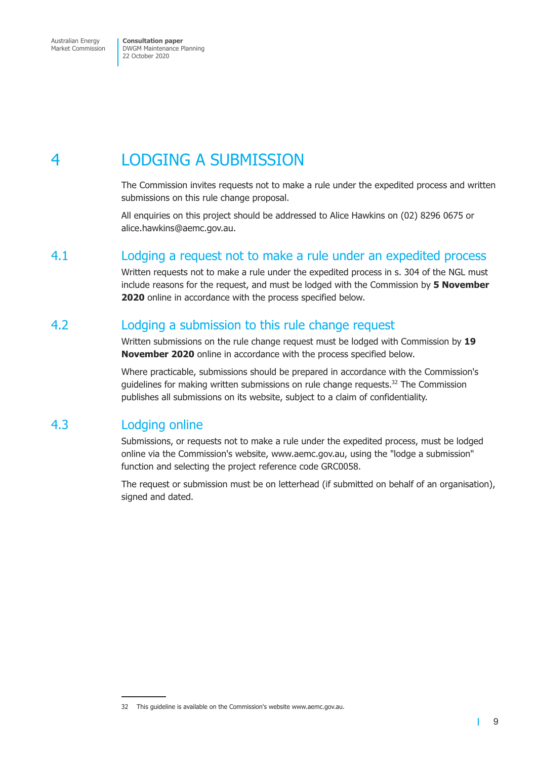# <span id="page-11-0"></span>4 LODGING A SUBMISSION

The Commission invites requests not to make a rule under the expedited process and written submissions on this rule change proposal.

All enquiries on this project should be addressed to Alice Hawkins on (02) 8296 0675 or alice.hawkins@aemc.gov.au.

### 4.1 Lodging a request not to make a rule under an expedited process

Written requests not to make a rule under the expedited process in s. 304 of the NGL must include reasons for the request, and must be lodged with the Commission by **5 November 2020** online in accordance with the process specified below.

## 4.2 Lodging a submission to this rule change request

Written submissions on the rule change request must be lodged with Commission by **19 November 2020** online in accordance with the process specified below.

Where practicable, submissions should be prepared in accordance with the Commission's quidelines for making written submissions on rule change requests. $32$  The Commission publishes all submissions on its website, subject to a claim of confidentiality.

## 4.3 Lodging online

Submissions, or requests not to make a rule under the expedited process, must be lodged online via the Commission's website, www.aemc.gov.au, using the "lodge a submission" function and selecting the project reference code GRC0058.

The request or submission must be on letterhead (if submitted on behalf of an organisation), signed and dated.

 $\blacksquare$ 

<sup>32</sup> This guideline is available on the Commission's website www.aemc.gov.au.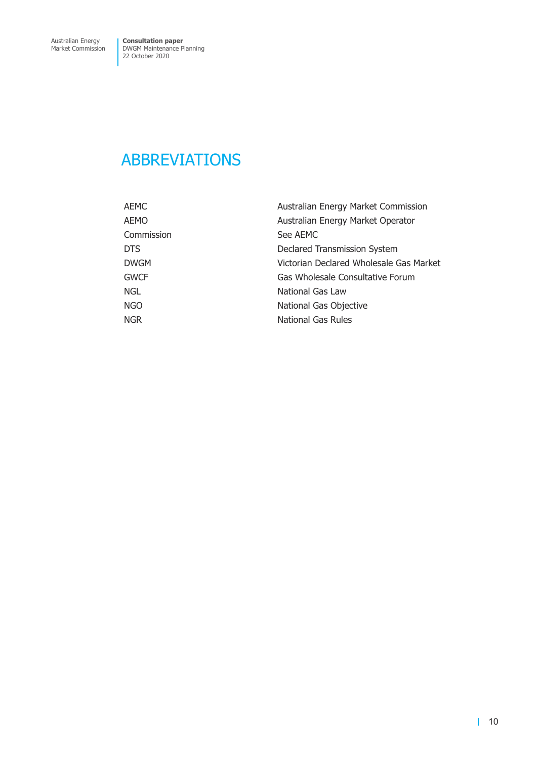# <span id="page-12-0"></span>ABBREVIATIONS

| AEMC        | Australian Energy Market Commission     |  |
|-------------|-----------------------------------------|--|
| AEMO        | Australian Energy Market Operator       |  |
| Commission  | See AEMC                                |  |
| <b>DTS</b>  | Declared Transmission System            |  |
| <b>DWGM</b> | Victorian Declared Wholesale Gas Market |  |
| <b>GWCF</b> | Gas Wholesale Consultative Forum        |  |
| <b>NGL</b>  | National Gas Law                        |  |
| <b>NGO</b>  | National Gas Objective                  |  |
| <b>NGR</b>  | National Gas Rules                      |  |
|             |                                         |  |